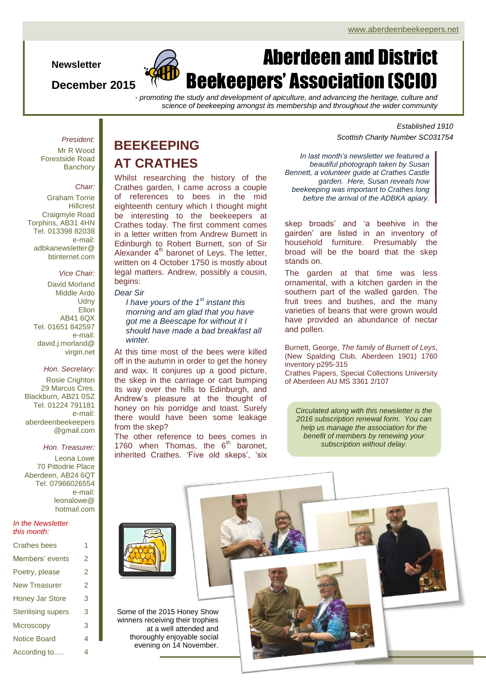**Newsletter**

### **December 2015**



# Aberdeen and District Beekeepers' Association (SCIO)

*- promoting the study and development of apiculture, and advancing the heritage, culture and science of beekeeping amongst its membership and throughout the wider community*

*President:*

Mr R Wood Forestside Road **Banchorv** 

### *Chair:*

Graham Torrie **Hillcrest** Craigmyle Road Torphins, AB31 4HN Tel. 013398 82038 e-mail: adbkanewsletter@ btinternet.com

### *Vice Chair:*

David Morland Middle Ardo **Udny Ellon** AB41 6QX Tel. 01651 842597 e-mail: david.j.morland@ virgin.net

### *Hon. Secretary:* Rosie Crighton 29 Marcus Cres. Blackburn, AB21 0SZ

Tel. 01224 791181 e-mail: aberdeenbeekeepers @gmail.com

### *Hon. Treasurer:*

Leona Lowe 70 Pittodrie Place Aberdeen, AB24 6QT Tel. 07966026554 e-mail: leonalowe@ hotmail.com

### *In the Newsletter this month:*

| <b>Crathes bees</b>       | 1 |
|---------------------------|---|
| Members' events           | 2 |
| Poetry, please            | 2 |
| <b>New Treasurer</b>      | 2 |
| Honey Jar Store           | 3 |
| <b>Sterilising supers</b> | 3 |
| <b>Microscopy</b>         | 3 |
| <b>Notice Board</b>       | 4 |
| According to              | 4 |

## **BEEKEEPING AT CRATHES**

Whilst researching the history of the Crathes garden, I came across a couple of references to bees in the mid eighteenth century which I thought might be interesting to the beekeepers at Crathes today. The first comment comes in a letter written from Andrew Burnett in Edinburgh to Robert Burnett, son of Sir Alexander  $4<sup>th</sup>$  baronet of Leys. The letter, written on 4 October 1750 is mostly about legal matters. Andrew, possibly a cousin, begins:

### *Dear Sir*

*I have yours of the 1st instant this morning and am glad that you have got me a Beescape for without it I should have made a bad breakfast all winter.*

At this time most of the bees were killed off in the autumn in order to get the honey and wax. It conjures up a good picture, the skep in the carriage or cart bumping its way over the hills to Edinburgh, and Andrew's pleasure at the thought of honey on his porridge and toast. Surely there would have been some leakage from the skep?

The other reference to bees comes in 1760 when Thomas, the  $6<sup>th</sup>$  baronet, inherited Crathes. 'Five old skeps', 'six

*Established 1910 Scottish Charity Number SC031754*

*In last month's newsletter we featured a beautiful photograph taken by Susan Bennett, a volunteer guide at Crathes Castle garden. Here, Susan reveals how beekeeping was important to Crathes long before the arrival of the ADBKA apiary.*

skep broads' and 'a beehive in the gairden' are listed in an inventory of household furniture. Presumably the broad will be the board that the skep stands on.

The garden at that time was less ornamental, with a kitchen garden in the southern part of the walled garden. The fruit trees and bushes, and the many varieties of beans that were grown would have provided an abundance of nectar and pollen.

Burnett, George, *The family of Burnett of Leys*, (New Spalding Club, Aberdeen 1901) 1760 inventory p295-315 Crathes Papers, Special Collections University of Aberdeen AU MS 3361 2/107

*Circulated along with this newsletter is the 2016 subscription renewal form. You can help us manage the association for the benefit of members by renewing your subscription without delay.*



Some of the 2015 Honey Show winners receiving their trophies at a well attended and thoroughly enjoyable social evening on 14 November.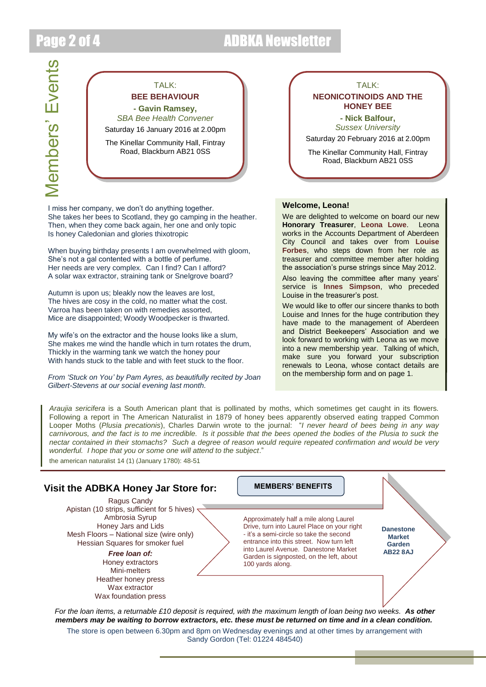## Page 2 of 4 ADBKA Newsletter

Members' Events Members' Events



I miss her company, we don't do anything together. She takes her bees to Scotland, they go camping in the heather. Then, when they come back again, her one and only topic Is honey Caledonian and glories thixotropic

When buying birthday presents I am overwhelmed with gloom, She's not a gal contented with a bottle of perfume. Her needs are very complex. Can I find? Can I afford? A solar wax extractor, straining tank or Snelgrove board?

Autumn is upon us; bleakly now the leaves are lost, The hives are cosy in the cold, no matter what the cost. Varroa has been taken on with remedies assorted, Mice are disappointed; Woody Woodpecker is thwarted.

My wife's on the extractor and the house looks like a slum, She makes me wind the handle which in turn rotates the drum, Thickly in the warming tank we watch the honey pour With hands stuck to the table and with feet stuck to the floor.

*From 'Stuck on You' by Pam Ayres, as beautifully recited by Joan Gilbert-Stevens at our social evening last month.*

### TALK:

### **NEONICOTINOIDS AND THE HONEY BEE**

**- Nick Balfour,** *Sussex University* Saturday 20 February 2016 at 2.00pm

The Kinellar Community Hall, Fintray Road, Blackburn AB21 0SS

### **Welcome, Leona!**

We are delighted to welcome on board our new **Honorary Treasurer**, **Leona Lowe**. Leona works in the Accounts Department of Aberdeen City Council and takes over from **Louise Forbes**, who steps down from her role as treasurer and committee member after holding the association's purse strings since May 2012.

Also leaving the committee after many years' service is **Innes Simpson**, who preceded Louise in the treasurer's post.

We would like to offer our sincere thanks to both Louise and Innes for the huge contribution they have made to the management of Aberdeen and District Beekeepers' Association and we look forward to working with Leona as we move into a new membership year. Talking of which, make sure you forward your subscription renewals to Leona, whose contact details are on the membership form and on page 1.

*Araujia sericifera* is a South American plant that is pollinated by moths, which sometimes get caught in its flowers. Following a report in The American Naturalist in 1879 of honey bees apparently observed eating trapped Common Looper Moths (*Plusia precationis*), Charles Darwin wrote to the journal: "*I never heard of bees being in any way*  carnivorous, and the fact is to me incredible. Is it possible that the bees opened the bodies of the Plusia to suck the *nectar contained in their stomachs? Such a degree of reason would require repeated confirmation and would be very wonderful. I hope that you or some one will attend to the subject*."

the american naturalist 14 (1) (January 1780): 48-51

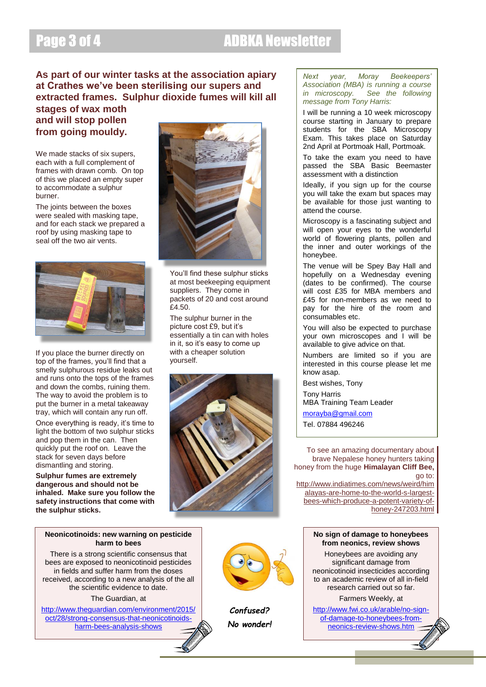## Page 3 of 4 ADBKA Newsletter

### **As part of our winter tasks at the association apiary at Crathes we've been sterilising our supers and extracted frames. Sulphur dioxide fumes will kill all**

### **stages of wax moth and will stop pollen from going mouldy.**

We made stacks of six supers. each with a full complement of frames with drawn comb. On top of this we placed an empty super to accommodate a sulphur burner.

The joints between the boxes were sealed with masking tape, and for each stack we prepared a roof by using masking tape to seal off the two air vents.



If you place the burner directly on top of the frames, you'll find that a smelly sulphurous residue leaks out and runs onto the tops of the frames and down the combs, ruining them. The way to avoid the problem is to put the burner in a metal takeaway tray, which will contain any run off.

Once everything is ready, it's time to light the bottom of two sulphur sticks and pop them in the can. Then quickly put the roof on. Leave the stack for seven days before dismantling and storing.

**Sulphur fumes are extremely dangerous and should not be inhaled. Make sure you follow the safety instructions that come with the sulphur sticks.**



You'll find these sulphur sticks at most beekeeping equipment suppliers. They come in packets of 20 and cost around £4.50.

The sulphur burner in the picture cost £9, but it's essentially a tin can with holes in it, so it's easy to come up with a cheaper solution yourself.



### *Next year, Moray Beekeepers' Association (MBA) is running a course in microscopy. See the following message from Tony Harris:*

I will be running a 10 week microscopy course starting in January to prepare students for the SBA Microscopy Exam. This takes place on Saturday 2nd April at Portmoak Hall, Portmoak.

To take the exam you need to have passed the SBA Basic Beemaster assessment with a distinction

Ideally, if you sign up for the course you will take the exam but spaces may be available for those just wanting to attend the course.

Microscopy is a fascinating subject and will open your eyes to the wonderful world of flowering plants, pollen and the inner and outer workings of the honeybee.

The venue will be Spey Bay Hall and hopefully on a Wednesday evening (dates to be confirmed). The course will cost £35 for MBA members and £45 for non-members as we need to pay for the hire of the room and consumables etc.

You will also be expected to purchase your own microscopes and I will be available to give advice on that.

Numbers are limited so if you are interested in this course please let me know asap.

Best wishes, Tony Tony Harris

MBA Training Team Leader

[morayba@gmail.com](mailto:morayba@gmail.com) Tel. 07884 496246

To see an amazing documentary about brave Nepalese honey hunters taking honey from the huge **Himalayan Cliff Bee,** go to: [http://www.indiatimes.com/news/weird/him](http://www.indiatimes.com/news/weird/himalayas-are-home-to-the-world-s-largest-bees-which-produce-a-potent-variety-of-honey-247203.html)

[alayas-are-home-to-the-world-s-largest](http://www.indiatimes.com/news/weird/himalayas-are-home-to-the-world-s-largest-bees-which-produce-a-potent-variety-of-honey-247203.html)[bees-which-produce-a-potent-variety-of](http://www.indiatimes.com/news/weird/himalayas-are-home-to-the-world-s-largest-bees-which-produce-a-potent-variety-of-honey-247203.html)[honey-247203.html](http://www.indiatimes.com/news/weird/himalayas-are-home-to-the-world-s-largest-bees-which-produce-a-potent-variety-of-honey-247203.html)

### **No sign of damage to honeybees from neonics, review shows**

Honeybees are avoiding any significant damage from neonicotinoid insecticides according to an academic review of all in-field research carried out so far.

Farmers Weekly, at

[http://www.fwi.co.uk/arable/no-sign](http://www.fwi.co.uk/arable/no-sign-of-damage-to-honeybees-from-neonics-review-shows.htm)[of-damage-to-honeybees-from](http://www.fwi.co.uk/arable/no-sign-of-damage-to-honeybees-from-neonics-review-shows.htm)[neonics-review-shows.htm](http://www.fwi.co.uk/arable/no-sign-of-damage-to-honeybees-from-neonics-review-shows.htm)

### **Neonicotinoids: new warning on pesticide harm to bees**

There is a strong scientific consensus that bees are exposed to neonicotinoid pesticides in fields and suffer harm from the doses received, according to a new analysis of the all the scientific evidence to date.

The Guardian, at

[http://www.theguardian.com/environment/2015/](http://www.theguardian.com/environment/2015/oct/28/strong-consensus-that-neonicotinoids-harm-bees-analysis-shows) [oct/28/strong-consensus-that-neonicotinoids](http://www.theguardian.com/environment/2015/oct/28/strong-consensus-that-neonicotinoids-harm-bees-analysis-shows)[harm-bees-analysis-shows](http://www.theguardian.com/environment/2015/oct/28/strong-consensus-that-neonicotinoids-harm-bees-analysis-shows)



*Confused? No wonder!*